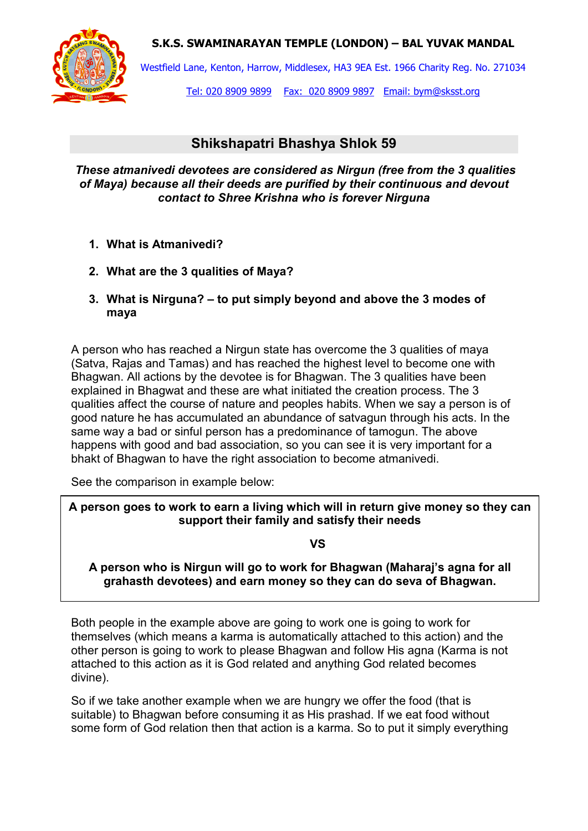**S.K.S. SWAMINARAYAN TEMPLE (LONDON) – BAL YUVAK MANDAL**



 $\overline{a}$ 

Westfield Lane, Kenton, Harrow, Middlesex, HA3 9EA Est. 1966 Charity Reg. No. 271034

Tel: 020 8909 9899 Fax: 020 8909 9897 Email: bym@sksst.org

## **Shikshapatri Bhashya Shlok 59**

*These atmanivedi devotees are considered as Nirgun (free from the 3 qualities of Maya) because all their deeds are purified by their continuous and devout contact to Shree Krishna who is forever Nirguna* 

- **1. What is Atmanivedi?**
- **2. What are the 3 qualities of Maya?**
- **3. What is Nirguna? to put simply beyond and above the 3 modes of maya**

A person who has reached a Nirgun state has overcome the 3 qualities of maya (Satva, Rajas and Tamas) and has reached the highest level to become one with Bhagwan. All actions by the devotee is for Bhagwan. The 3 qualities have been explained in Bhagwat and these are what initiated the creation process. The 3 qualities affect the course of nature and peoples habits. When we say a person is of good nature he has accumulated an abundance of satvagun through his acts. In the same way a bad or sinful person has a predominance of tamogun. The above happens with good and bad association, so you can see it is very important for a bhakt of Bhagwan to have the right association to become atmanivedi.

See the comparison in example below:

**A person goes to work to earn a living which will in return give money so they can support their family and satisfy their needs** 

**VS** 

**A person who is Nirgun will go to work for Bhagwan (Maharaj's agna for all grahasth devotees) and earn money so they can do seva of Bhagwan.** 

Both people in the example above are going to work one is going to work for themselves (which means a karma is automatically attached to this action) and the other person is going to work to please Bhagwan and follow His agna (Karma is not attached to this action as it is God related and anything God related becomes divine).

So if we take another example when we are hungry we offer the food (that is suitable) to Bhagwan before consuming it as His prashad. If we eat food without some form of God relation then that action is a karma. So to put it simply everything